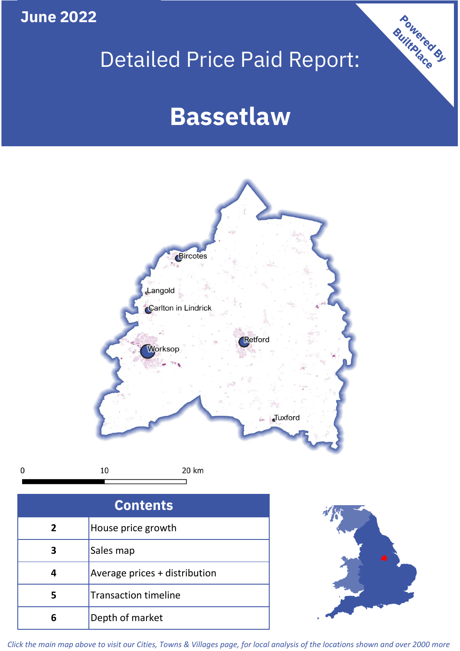## **June 2022**

**5**

**4**

 $\mathbf 0$ 

## Detailed Price Paid Report:

Powered By

# **Bassetlaw**



*Click the main map above to visit our Cities, Towns & Villages page, for local analysis of the locations shown and over 2000 more*

Average prices + distribution

Transaction timeline

**6** Depth of market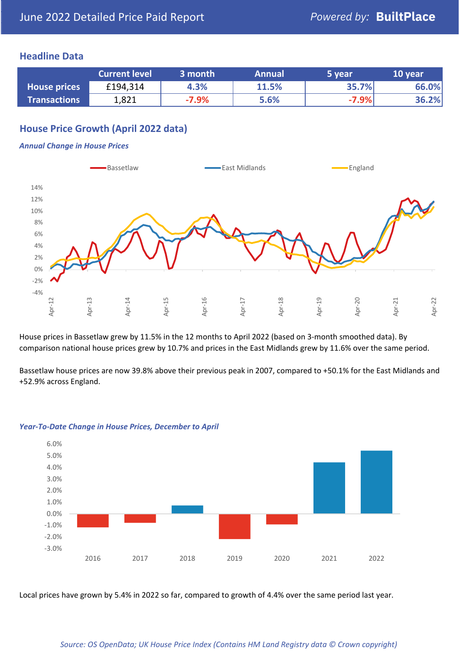### **Headline Data**

|                     | <b>Current level</b> | 3 month | <b>Annual</b> | 5 year  | 10 year |
|---------------------|----------------------|---------|---------------|---------|---------|
| <b>House prices</b> | £194,314             | 4.3%    | 11.5%         | 35.7%   | 66.0%   |
| <b>Transactions</b> | 1,821                | $-7.9%$ | 5.6%          | $-7.9%$ | 36.2%   |

## **House Price Growth (April 2022 data)**

#### *Annual Change in House Prices*



House prices in Bassetlaw grew by 11.5% in the 12 months to April 2022 (based on 3-month smoothed data). By comparison national house prices grew by 10.7% and prices in the East Midlands grew by 11.6% over the same period.

Bassetlaw house prices are now 39.8% above their previous peak in 2007, compared to +50.1% for the East Midlands and +52.9% across England.



#### *Year-To-Date Change in House Prices, December to April*

Local prices have grown by 5.4% in 2022 so far, compared to growth of 4.4% over the same period last year.

#### *Source: OS OpenData; UK House Price Index (Contains HM Land Registry data © Crown copyright)*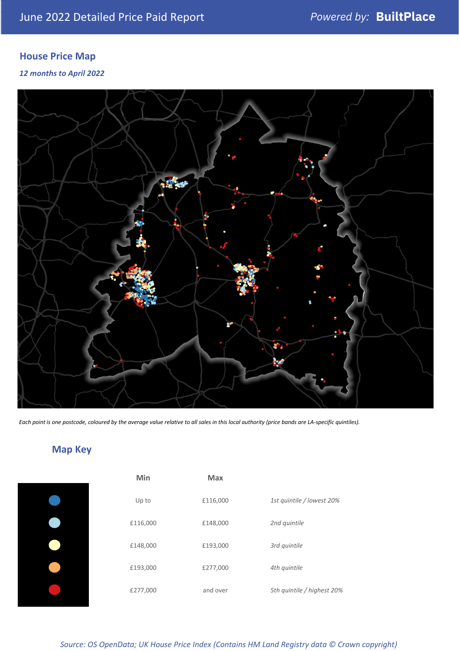## **House Price Map**

*12 months to April 2022*



*Each point is one postcode, coloured by the average value relative to all sales in this local authority (price bands are LA-specific quintiles).*

## **Map Key**

| Min      | <b>Max</b> |                            |
|----------|------------|----------------------------|
| Up to    | £116,000   | 1st quintile / lowest 20%  |
| £116,000 | £148,000   | 2nd quintile               |
| £148,000 | £193,000   | 3rd quintile               |
| £193,000 | £277,000   | 4th quintile               |
| £277,000 | and over   | 5th quintile / highest 20% |

*Source: OS OpenData; UK House Price Index (Contains HM Land Registry data © Crown copyright)*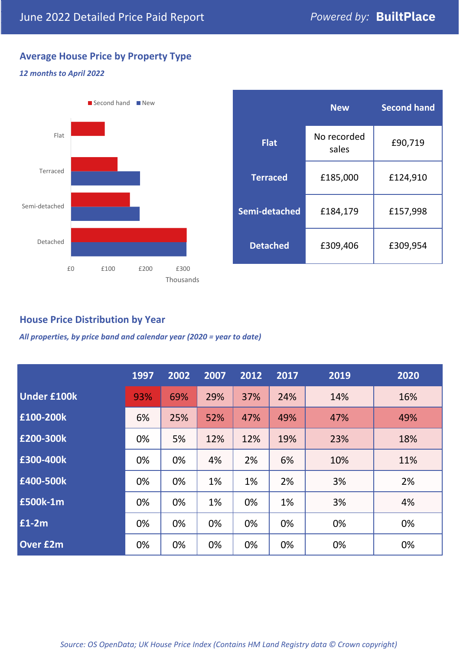## **Average House Price by Property Type**

#### *12 months to April 2022*



|                 | <b>New</b>           | <b>Second hand</b> |  |
|-----------------|----------------------|--------------------|--|
| <b>Flat</b>     | No recorded<br>sales | £90,719            |  |
| <b>Terraced</b> | £185,000             | £124,910           |  |
| Semi-detached   | £184,179             | £157,998           |  |
| <b>Detached</b> | £309,406             | £309,954           |  |

## **House Price Distribution by Year**

*All properties, by price band and calendar year (2020 = year to date)*

|                    | 1997 | 2002 | 2007 | 2012 | 2017 | 2019 | 2020 |
|--------------------|------|------|------|------|------|------|------|
| <b>Under £100k</b> | 93%  | 69%  | 29%  | 37%  | 24%  | 14%  | 16%  |
| £100-200k          | 6%   | 25%  | 52%  | 47%  | 49%  | 47%  | 49%  |
| £200-300k          | 0%   | 5%   | 12%  | 12%  | 19%  | 23%  | 18%  |
| E300-400k          | 0%   | 0%   | 4%   | 2%   | 6%   | 10%  | 11%  |
| £400-500k          | 0%   | 0%   | 1%   | 1%   | 2%   | 3%   | 2%   |
| <b>E500k-1m</b>    | 0%   | 0%   | 1%   | 0%   | 1%   | 3%   | 4%   |
| $E1-2m$            | 0%   | 0%   | 0%   | 0%   | 0%   | 0%   | 0%   |
| <b>Over £2m</b>    | 0%   | 0%   | 0%   | 0%   | 0%   | 0%   | 0%   |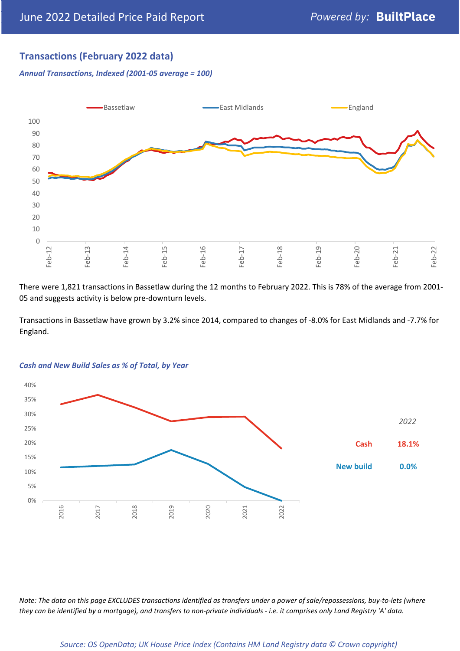## **Transactions (February 2022 data)**

*Annual Transactions, Indexed (2001-05 average = 100)*



There were 1,821 transactions in Bassetlaw during the 12 months to February 2022. This is 78% of the average from 2001- 05 and suggests activity is below pre-downturn levels.

Transactions in Bassetlaw have grown by 3.2% since 2014, compared to changes of -8.0% for East Midlands and -7.7% for England.



#### *Cash and New Build Sales as % of Total, by Year*

*Note: The data on this page EXCLUDES transactions identified as transfers under a power of sale/repossessions, buy-to-lets (where they can be identified by a mortgage), and transfers to non-private individuals - i.e. it comprises only Land Registry 'A' data.*